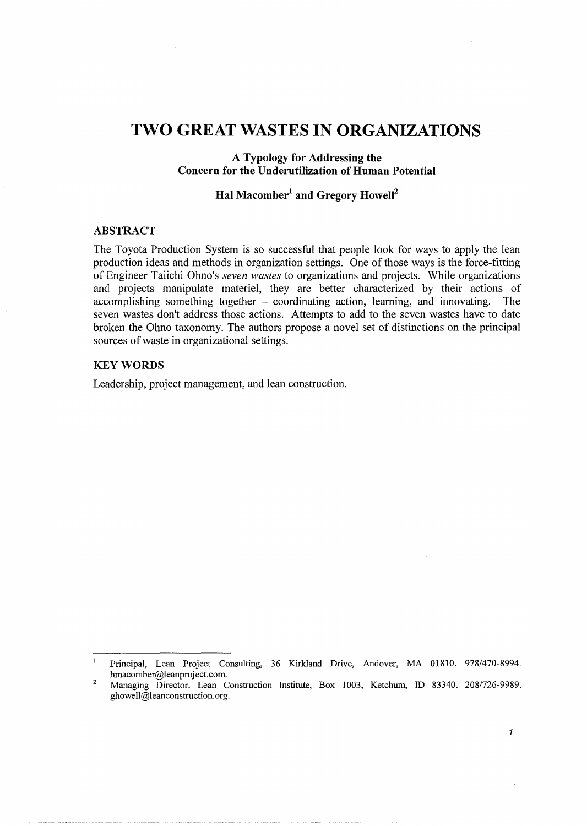# **TWO GREAT WASTES IN ORGANIZATIONS**

# **A Typology for Addressing the Concern for the Underutilization of Human Potential**

# **Hal Macomber1 and Gregory Howell2**

### **ABSTRACT**

The Toyota Production System is so successful that people look for ways to apply the lean production ideas and methods in organization settings. One of those ways is the force-fitting of Engineer Taiichi Ohno's *seven wastes* to organizations and projects. While organizations and projects manipulate materiel, they are better characterized by their actions of accomplishing something together - coordinating action, learning, and innovating. The seven wastes don't address those actions. Attempts to add to the seven wastes have to date broken the Ohno taxonomy. The authors propose a novel set of distinctions on the principal sources of waste in organizational settings.

#### **KEYWORDS**

Leadership, project management, and lean construction.

*1* 

 $\,1\,$ Principal, Lean Project Consulting, 36 Kirkland Drive, Andover, MA 01810. 978/470-8994. hmacomber@leanproject.com.

<sup>2</sup>  Managing Director. Lean Construction Institute, Box 1003, Ketchum, ID 83340. 208/726-9989. ghowell@leanconstruction.org.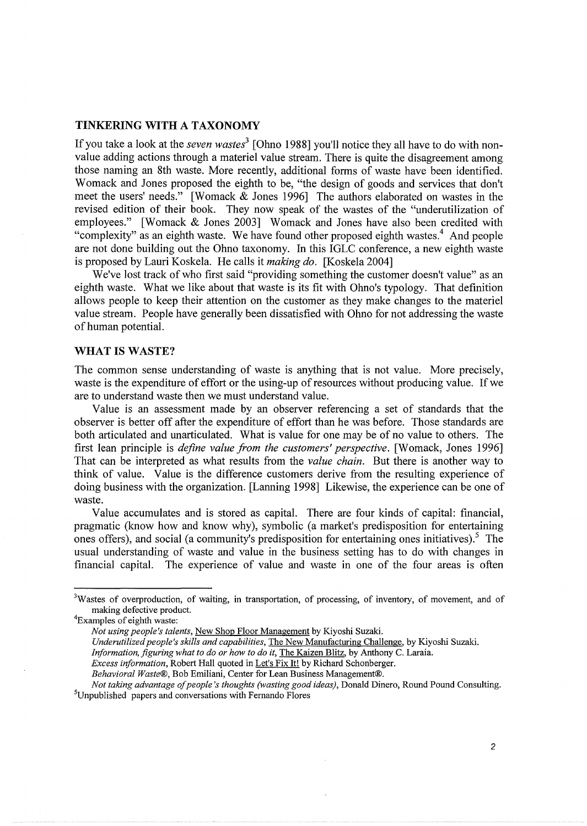#### **TINKERING WITH A TAXONOMY**

If you take a look at the *seven wastes*<sup>3</sup> [Ohno 1988] you'll notice they all have to do with nonvalue adding actions through a materiel value stream. There is quite the disagreement among those naming an 8th waste. More recently, additional forms of waste have been identified. Womack and Jones proposed the eighth to be, "the design of goods and services that don't meet the users' needs." [Womack & Jones 1996] The authors elaborated on wastes in the revised edition of their book. They now speak of the wastes of the "underutilization of employees." [Womack & Jones 2003] Womack and Jones have also been credited with "complexity" as an eighth waste. We have found other proposed eighth wastes.<sup>4</sup> And people are not done building out the Ohno taxonomy. In this IGLC conference, a new eighth waste is proposed by Lauri Koskela. He calls it *making do.* [Koskela 2004]

We've lost track of who first said "providing something the customer doesn't value" as an eighth waste. What we like about that waste is its fit with Ohno's typology. That definition allows people to keep their attention on the customer as they make changes to the materiel value stream. People have generally been dissatisfied with Ohno for not addressing the waste of human potential.

#### **WHAT IS WASTE?**

The common sense understanding of waste is anything that is not value. More precisely, waste is the expenditure of effort or the using-up of resources without producing value. If we are to understand waste then we must understand value.

Value is an assessment made by an observer referencing a set of standards that the observer is better off after the expenditure of effort than he was before. Those standards are both articulated and unarticulated. What is value for one may be of no value to others. The first lean principle is *define value from the customers' perspective*. [Womack, Jones 1996] That can be interpreted as what results from the *value chain.* But there is another way to think of value. Value is the difference customers derive from the resulting experience of doing business with the organization. [Lanning 1998] Likewise, the experience can be one of waste.

Value accumulates and is stored as capital. There are four kinds of capital: financial, pragmatic (know how and know why), symbolic (a market's predisposition for entertaining ones offers), and social (a community's predisposition for entertaining ones initiatives).<sup>5</sup> The usual understanding of waste and value in the business setting has to do with changes in financial capital. The experience of value and waste in one of the four areas is often

*Information, figuring what to do or how to do* it, The Kaizen Blitz, by Anthony C. Laraia.

*Behavioral Waste®,* Bob Emiliani, Center for Lean Business Management®.

<sup>&</sup>lt;sup>3</sup>Wastes of overproduction, of waiting, in transportation, of processing, of inventory, of movement, and of making defective product. 4

Examples of eighth waste:

*Not using people's talents,* New Shop Floor Management by Kiyoshi Suzaki.

*Underutilized people's skills and capabilities,* The New Manufacturing Challenge, by Kiyoshi Suzaki.

*Excess information,* Robert Hall quoted in Let's Fix It! by Richard Schonberger.

*Not taking advantage of people's thoughts (wasting good ideas},* Donald Dinero, Round Pound Consulting. 5 <sup>5</sup>Unpublished papers and conversations with Fernando Flores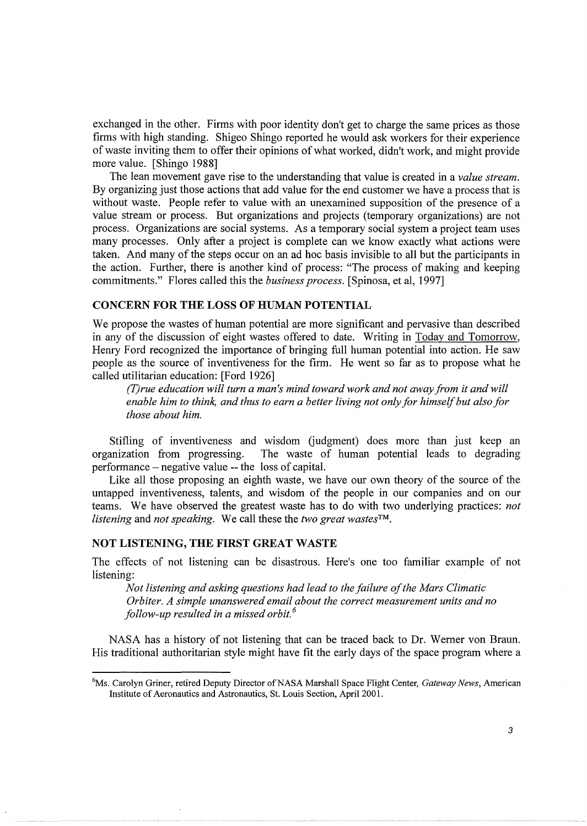exchanged in the other. Firms with poor identity don't get to charge the same prices as those firms with high standing. Shigeo Shingo reported he would ask workers for their experience of waste inviting them to offer their opinions of what worked, didn't work, and might provide more value. [Shingo 1988]

The lean movement gave rise to the understanding that value is created in a *value stream.*  By organizing just those actions that add value for the end customer we have a process that is without waste. People refer to value with an unexamined supposition of the presence of a value stream or process. But organizations and projects (temporary organizations) are not process. Organizations are social systems. As a temporary social system a project team uses many processes. Only after a project is complete can we know exactly what actions were taken. And many of the steps occur on an ad hoc basis invisible to all but the participants in the action. Further, there is another kind of process: "The process of making and keeping commitments." Flores called this the *business process.* [Spinosa, et al, 1997]

### **CONCERN FOR THE LOSS OF HUMAN POTENTIAL**

We propose the wastes of human potential are more significant and pervasive than described in any of the discussion of eight wastes offered to date. Writing in Today and Tomorrow, Henry Ford recognized the importance of bringing full human potential into action. He saw people as the source of inventiveness for the firm. He went so far as to propose what he called utilitarian education: [Ford 1926]

*(T)rue education will turn a man's mind toward work and not away from it and will enable him to think, and thus to earn a better living not only for himself but also for those about him.* 

Stifling of inventiveness and wisdom Gudgment) does more than just keep an organization from progressing. The waste of human potential leads to degrading performance -negative value -- the loss of capital.

Like all those proposing an eighth waste, we have our own theory of the source of the untapped inventiveness, talents, and wisdom of the people in our companies and on our teams. We have observed the greatest waste has to do with two underlying practices: *not listening* and *not speaking.* We call these the *two great wastes™.* 

### **NOT LISTENING, THE FIRST GREAT WASTE**

The effects of not listening can be disastrous. Here's one too familiar example of not listening:

*Not listening and asking questions had lead to the failure of the Mars Climatic Orbiter. A simple unanswered email about the correct measurement units and no follow-up resulted in a missed orbit. 6* 

NASA has a history of not listening that can be traced back to Dr. Werner von Braun. His traditional authoritarian style might have fit the early days of the space program where a

<sup>6</sup> Ms. Carolyn Griner, retired Deputy Director of NASA Marshall Space Flight Center, *Gateway News,* American Institute of Aeronautics and Astronautics, St. Louis Section, April2001.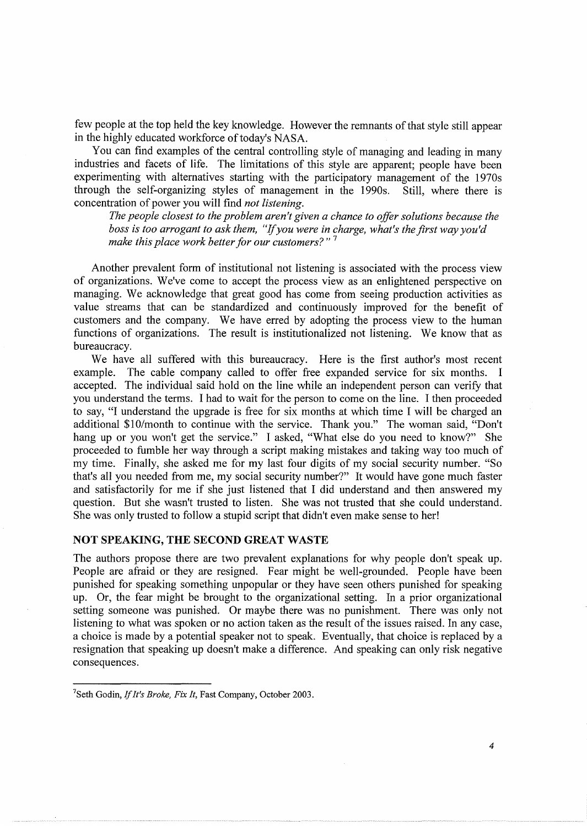few people at the top held the key knowledge. However the remnants of that style still appear in the highly educated workforce of today's NASA.

You can find examples of the central controlling style of managing and leading in many industries and facets of life. The limitations of this style are apparent; people have been experimenting with alternatives starting with the participatory management of the 1970s through the self-organizing styles of management in the 1990s. Still, where there is through the self-organizing styles of management in the 1990s. concentration of power you will find *not listening.* 

*The people closest to the problem aren't given a chance to offer solutions because the boss is too arrogant to ask them, "if you were in charge, what's the first way you'd make this place work better for our customers?"* <sup>7</sup>

Another prevalent form of institutional not listening is associated with the process view of organizations. We've come to accept the process view as an enlightened perspective on managing. We acknowledge that great good has come from seeing production activities as value streams that can be standardized and continuously improved for the benefit of customers and the company. We have erred by adopting the process view to the human functions of organizations. The result is institutionalized not listening. We know that as bureaucracy.

We have all suffered with this bureaucracy. Here is the first author's most recent example. The cable company called to offer free expanded service for six months. I accepted. The individual said hold on the line while an independent person can verify that you understand the terms. I had to wait for the person to come on the line. I then proceeded to say, "I understand the upgrade is free for six months at which time I will be charged an additional \$10/month to continue with the service. Thank you." The woman said, "Don't hang up or you won't get the service." I asked, "What else do you need to know?" She proceeded to fumble her way through a script making mistakes and taking way too much of my time. Finally, she asked me for my last four digits of my social security number. "So that's all you needed from me, my social security number?" It would have gone much faster and satisfactorily for me if she just listened that I did understand and then answered my question. But she wasn't trusted to listen. She was not trusted that she could understand. She was only trusted to follow a stupid script that didn't even make sense to her!

# **NOT SPEAKING, THE SECOND GREAT WASTE**

The authors propose there are two prevalent explanations for why people don't speak up. People are afraid or they are resigned. Fear might be well-grounded. People have been punished for speaking something unpopular or they have seen others punished for speaking up. Or, the fear might be brought to the organizational setting. In a prior organizational setting someone was punished. Or maybe there was no punishment. There was only not listening to what was spoken or no action taken as the result of the issues raised. In any case, a choice is made by a potential speaker not to speak. Eventually, that choice is replaced by a resignation that speaking up doesn't make a difference. And speaking can only risk negative consequences.

<sup>7</sup> Seth Godin, If *It's Broke, Fix It,* Fast Company, October 2003.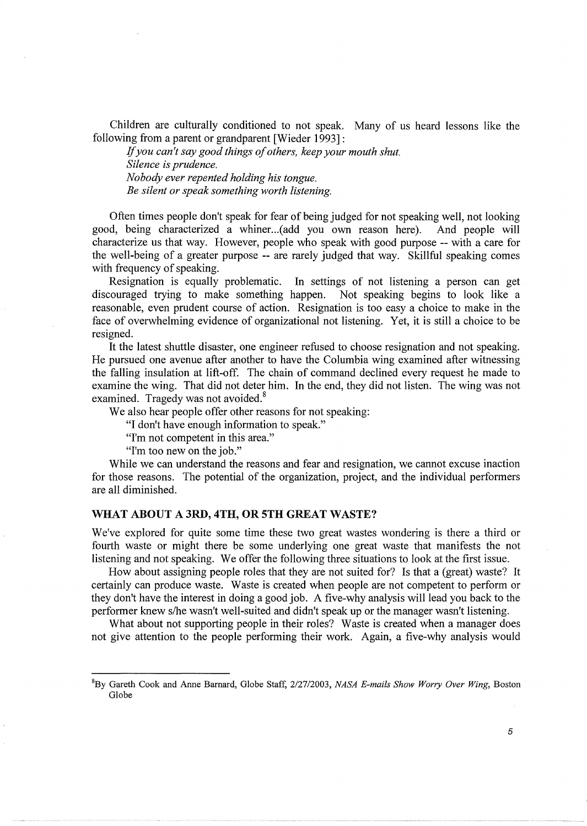Children are culturally conditioned to not speak. Many of us heard lessons like the following from a parent or grandparent [Wieder 1993]:

If *you can't say good things of others, keep your mouth shut. Silence is prudence. Nobody ever repented holding his tongue. Be silent or speak something worth listening.* 

Often times people don't speak for fear of being judged for not speaking well, not looking good, being characterized a whiner. .. (add you own reason here). And people will characterize us that way. However, people who speak with good purpose-- with a care for the well-being of a greater purpose -- are rarely judged that way. Skillful speaking comes with frequency of speaking.

Resignation is equally problematic. In settings of not listening a person can get discouraged trying to make something happen. Not speaking begins to look like a reasonable, even prudent course of action. Resignation is too easy a choice to make in the face of overwhelming evidence of organizational not listening. Yet, it is still a choice to be resigned.

It the latest shuttle disaster, one engineer refused to choose resignation and not speaking. He pursued one avenue after another to have the Columbia wing examined after witnessing the falling insulation at lift-off. The chain of command declined every request he made to examine the wing. That did not deter him. In the end, they did not listen. The wing was not examined. Tragedy was not avoided.<sup>8</sup>

We also hear people offer other reasons for not speaking:

"I don't have enough information to speak."

"I'm not competent in this area."

"I'm too new on the job."

While we can understand the reasons and fear and resignation, we cannot excuse inaction for those reasons. The potential of the organization, project, and the individual performers are all diminished.

### **WHAT ABOUT A3RD,4TH,OR5THGREATWASTE?**

We've explored for quite some time these two great wastes wondering is there a third or fourth waste or might there be some underlying one great waste that manifests the not listening and not speaking. We offer the following three situations to look at the first issue.

How about assigning people roles that they are not suited for? Is that a (great) waste? It certainly can produce waste. Waste is created when people are not competent to perform or they don't have the interest in doing a good job. A five-why analysis will lead you back to the performer knew s/he wasn't well-suited and didn't speak up or the manager wasn't listening.

What about not supporting people in their roles? Waste is created when a manager does not give attention to the people performing their work. Again, a five-why analysis would

<sup>8</sup> By Gareth Cook and Anne Barnard, Globe Staff, 2/27/2003, *NASA E-mails Show Worry Over Wing,* Boston Globe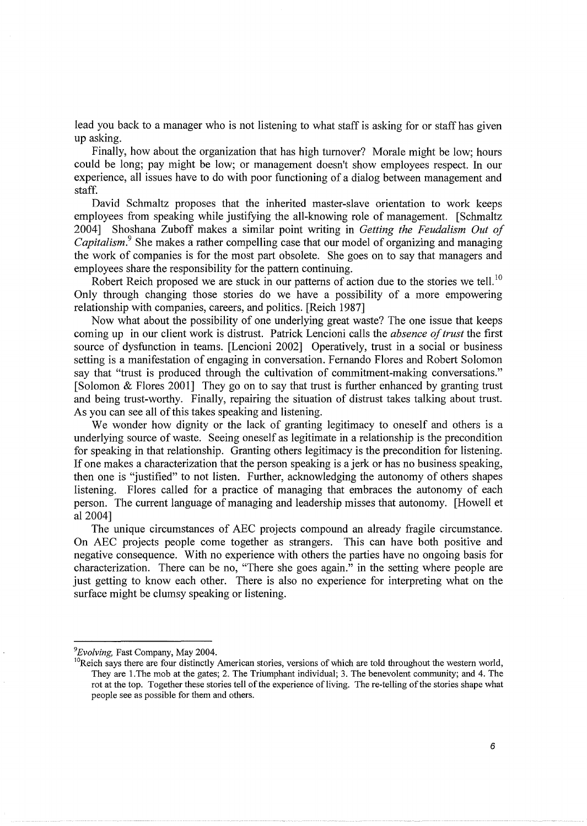lead you back to a manager who is not listening to what staff is asking for or staff has given up asking.

Finally, how about the organization that has high turnover? Morale might be low; hours could be long; pay might be low; or management doesn't show employees respect. In our experience, all issues have to do with poor functioning of a dialog between management and staff.

David Schmaltz proposes that the inherited master-slave orientation to work keeps employees from speaking while justifying the all-knowing role of management. [Schmaltz 2004] Shoshana Zuboff makes a similar point writing in *Getting the Feudalism Out of Capitalism.*<sup>9</sup> She makes a rather compelling case that our model of organizing and managing the work of companies is for the most part obsolete. She goes on to say that managers and employees share the responsibility for the pattern continuing.

Robert Reich proposed we are stuck in our patterns of action due to the stories we tell.<sup>10</sup> Only through changing those stories do we have a possibility of a more empowering relationship with companies, careers, and politics. [Reich 1987]

Now what about the possibility of one underlying great waste? The one issue that keeps coming up in our client work is distrust. Patrick Lencioni calls the *absence of trust* the first source of dysfunction in teams. [Lencioni 2002] Operatively, trust in a social or business setting is a manifestation of engaging in conversation. Fernando Flores and Robert Solomon say that "trust is produced through the cultivation of commitment-making conversations." [Solomon & Flores 2001] They go on to say that trust is further enhanced by granting trust and being trust-worthy. Finally, repairing the situation of distrust takes talking about trust. As you can see all of this takes speaking and listening.

We wonder how dignity or the lack of granting legitimacy to oneself and others is a underlying source of waste. Seeing oneself as legitimate in a relationship is the precondition for speaking in that relationship. Granting others legitimacy is the precondition for listening. If one makes a characterization that the person speaking is a jerk or has no business speaking, then one is "justified" to not listen. Further, acknowledging the autonomy of others shapes listening. Flores called for a practice of managing that embraces the autonomy of each person. The current language of managing and leadership misses that autonomy. [Howell et al 2004]

The unique circumstances of AEC projects compound an already fragile circumstance. On AEC projects people come together as strangers. This can have both positive and negative consequence. With no experience with others the parties have no ongoing basis for characterization. There can be no, "There she goes again." in the setting where people are just getting to know each other. There is also no experience for interpreting what on the surface might be clumsy speaking or listening.

*<sup>9</sup> Evolving,* Fast Company, May 2004.

<sup>&</sup>lt;sup>10</sup>Reich says there are four distinctly American stories, versions of which are told throughout the western world, They are I. The mob at the gates; 2. The Triumphant individual; 3. The benevolent community; and 4. The rot at the top. Together these stories tell of the experience of living. The re-telling of the stories shape what people see as possible for them and others.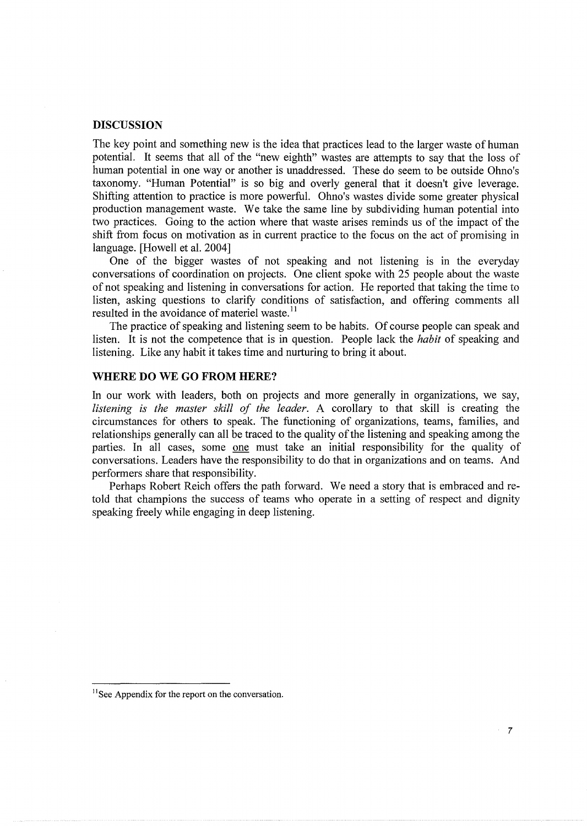#### **DISCUSSION**

The key point and something new is the idea that practices lead to the larger waste of human potential. It seems that all of the "new eighth" wastes are attempts to say that the loss of human potential in one way or another is unaddressed. These do seem to be outside Ohno's taxonomy. "Human Potential" is so big and overly general that it doesn't give leverage. Shifting attention to practice is more powerful. Ohno's wastes divide some greater physical production management waste. We take the same line by subdividing human potential into two practices. Going to the action where that waste arises reminds us of the impact of the shift from focus on motivation as in current practice to the focus on the act of promising in language. [Howell et al. 2004]

One of the bigger wastes of not speaking and not listening is in the everyday conversations of coordination on projects. One client spoke with 25 people about the waste of not speaking and listening in conversations for action. He reported that taking the time to listen, asking questions to clarify conditions of satisfaction, and offering comments all resulted in the avoidance of materiel waste.<sup>11</sup>

The practice of speaking and listening seem to be habits. Of course people can speak and listen. It is not the competence that is in question. People lack the *habit* of speaking and listening. Like any habit it takes time and nurturing to bring it about.

# **WHERE DO WE GO FROM HERE?**

In our work with leaders, both on projects and more generally in organizations, we say, *listening is the master skill of the leader.* A corollary to that skill is creating the circumstances for others to speak. The functioning of organizations, teams, families, and relationships generally can all be traced to the quality of the listening and speaking among the parties. In all cases, some one must take an initial responsibility for the quality of conversations. Leaders have the responsibility to do that in organizations and on teams. And performers share that responsibility.

Perhaps Robert Reich offers the path forward. We need a story that is embraced and retold that champions the success of teams who operate in a setting of respect and dignity speaking freely while engaging in deep listening.

<sup>&</sup>lt;sup>11</sup> See Appendix for the report on the conversation.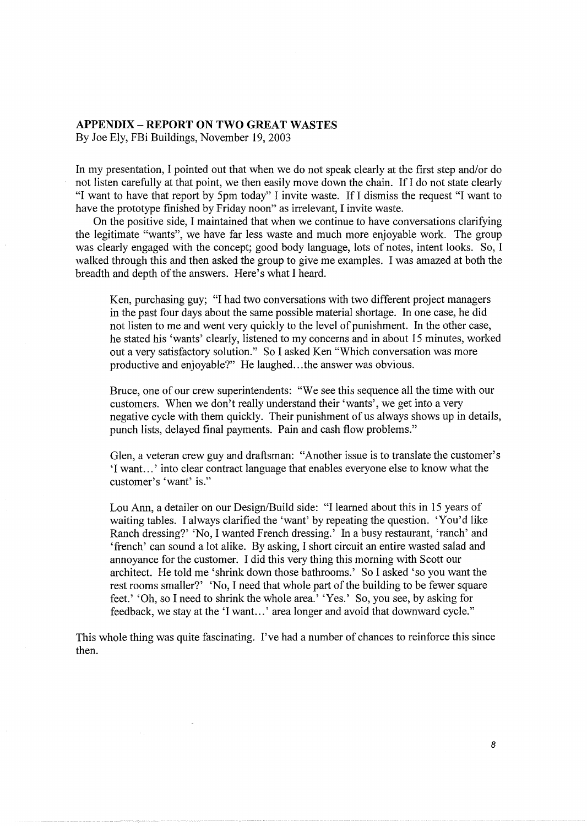# **APPENDIX- REPORT ON TWO GREAT WASTES**

By Joe Ely, FBi Buildings, November 19, 2003

 $\bar{\lambda}$  .

In my presentation, I pointed out that when we do not speak clearly at the first step and/or do not listen carefully at that point, we then easily move down the chain. If I do not state clearly "I want to have that report by 5pm today" I invite waste. If I dismiss the request "I want to have the prototype finished by Friday noon" as irrelevant, I invite waste.

On the positive side, I maintained that when we continue to have conversations clarifying the legitimate "wants", we have far less waste and much more enjoyable work. The group was clearly engaged with the concept; good body language, lots of notes, intent looks. So, I walked through this and then asked the group to give me examples. I was amazed at both the breadth and depth of the answers. Here's what I heard.

Ken, purchasing guy; "I had two conversations with two different project managers in the past four days about the same possible material shortage. In one case, he did not listen to me and went very quickly to the level of punishment. In the other case, he stated his 'wants' clearly, listened to my concerns and in about 15 minutes, worked out a very satisfactory solution." So I asked Ken "Which conversation was more productive and enjoyable?" He laughed...the answer was obvious.

Bruce, one of our crew superintendents: "We see this sequence all the time with our customers. When we don't really understand their 'wants', we get into a very negative cycle with them quickly. Their punishment of us always shows up in details, punch lists, delayed final payments. Pain and cash flow problems."

Glen, a veteran crew guy and draftsman: "Another issue is to translate the customer's 'I want...' into clear contract language that enables everyone else to know what the customer's 'want' is."

Lou Ann, a detailer on our Design/Build side: "I learned about this in 15 years of waiting tables. I always clarified the 'want' by repeating the question. 'You'd like Ranch dressing?' 'No, I wanted French dressing.' In a busy restaurant, 'ranch' and 'french' can sound a lot alike. By asking, I short circuit an entire wasted salad and annoyance for the customer. I did this very thing this morning with Scott our architect. He told me 'shrink down those bathrooms.' So I asked 'so you want the rest rooms smaller?' 'No, I need that whole part of the building to be fewer square feet.' 'Oh, so I need to shrink the whole area.' 'Yes.' So, you see, by asking for feedback, we stay at the 'I want. .. ' area longer and avoid that downward cycle."

This whole thing was quite fascinating. I've had a number of chances to reinforce this since then.